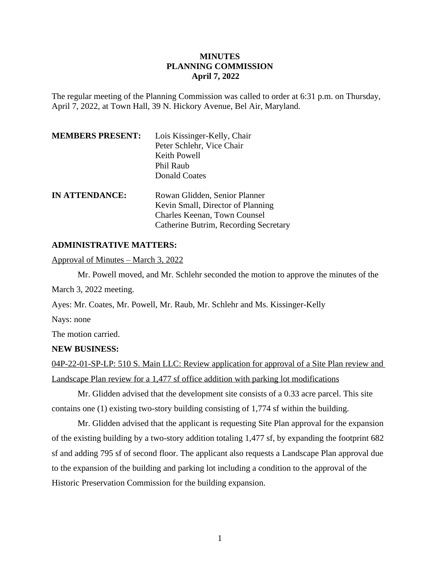# **MINUTES PLANNING COMMISSION April 7, 2022**

The regular meeting of the Planning Commission was called to order at 6:31 p.m. on Thursday, April 7, 2022, at Town Hall, 39 N. Hickory Avenue, Bel Air, Maryland.

| <b>MEMBERS PRESENT:</b> | Lois Kissinger-Kelly, Chair<br>Peter Schlehr, Vice Chair<br>Keith Powell<br>Phil Raub |
|-------------------------|---------------------------------------------------------------------------------------|
|                         | Donald Coates                                                                         |
| <b>IN ATTENDANCE:</b>   | Rowan Glidden, Senior Planner<br>Kevin Small, Director of Planning                    |
|                         | <b>Charles Keenan, Town Counsel</b><br>Catherine Butrim, Recording Secretary          |

# **ADMINISTRATIVE MATTERS:**

Approval of Minutes – March 3, 2022

Mr. Powell moved, and Mr. Schlehr seconded the motion to approve the minutes of the

March 3, 2022 meeting.

Ayes: Mr. Coates, Mr. Powell, Mr. Raub, Mr. Schlehr and Ms. Kissinger-Kelly

Nays: none

The motion carried.

### **NEW BUSINESS:**

04P-22-01-SP-LP: 510 S. Main LLC: Review application for approval of a Site Plan review and Landscape Plan review for a 1,477 sf office addition with parking lot modifications

Mr. Glidden advised that the development site consists of a 0.33 acre parcel. This site contains one (1) existing two-story building consisting of 1,774 sf within the building.

Mr. Glidden advised that the applicant is requesting Site Plan approval for the expansion of the existing building by a two-story addition totaling 1,477 sf, by expanding the footprint 682 sf and adding 795 sf of second floor. The applicant also requests a Landscape Plan approval due to the expansion of the building and parking lot including a condition to the approval of the Historic Preservation Commission for the building expansion.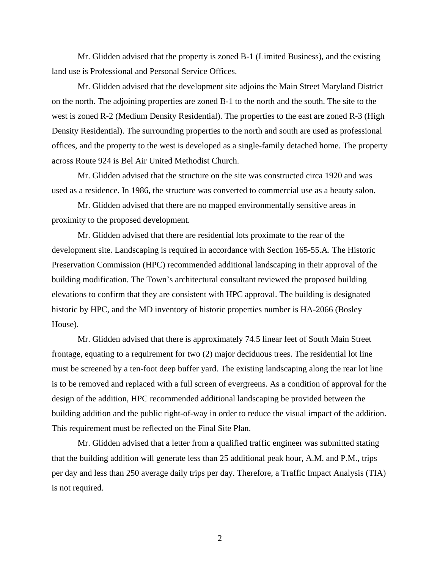Mr. Glidden advised that the property is zoned B-1 (Limited Business), and the existing land use is Professional and Personal Service Offices.

Mr. Glidden advised that the development site adjoins the Main Street Maryland District on the north. The adjoining properties are zoned B-1 to the north and the south. The site to the west is zoned R-2 (Medium Density Residential). The properties to the east are zoned R-3 (High Density Residential). The surrounding properties to the north and south are used as professional offices, and the property to the west is developed as a single-family detached home. The property across Route 924 is Bel Air United Methodist Church.

Mr. Glidden advised that the structure on the site was constructed circa 1920 and was used as a residence. In 1986, the structure was converted to commercial use as a beauty salon.

Mr. Glidden advised that there are no mapped environmentally sensitive areas in proximity to the proposed development.

Mr. Glidden advised that there are residential lots proximate to the rear of the development site. Landscaping is required in accordance with Section 165-55.A. The Historic Preservation Commission (HPC) recommended additional landscaping in their approval of the building modification. The Town's architectural consultant reviewed the proposed building elevations to confirm that they are consistent with HPC approval. The building is designated historic by HPC, and the MD inventory of historic properties number is HA-2066 (Bosley House).

Mr. Glidden advised that there is approximately 74.5 linear feet of South Main Street frontage, equating to a requirement for two (2) major deciduous trees. The residential lot line must be screened by a ten-foot deep buffer yard. The existing landscaping along the rear lot line is to be removed and replaced with a full screen of evergreens. As a condition of approval for the design of the addition, HPC recommended additional landscaping be provided between the building addition and the public right-of-way in order to reduce the visual impact of the addition. This requirement must be reflected on the Final Site Plan.

Mr. Glidden advised that a letter from a qualified traffic engineer was submitted stating that the building addition will generate less than 25 additional peak hour, A.M. and P.M., trips per day and less than 250 average daily trips per day. Therefore, a Traffic Impact Analysis (TIA) is not required.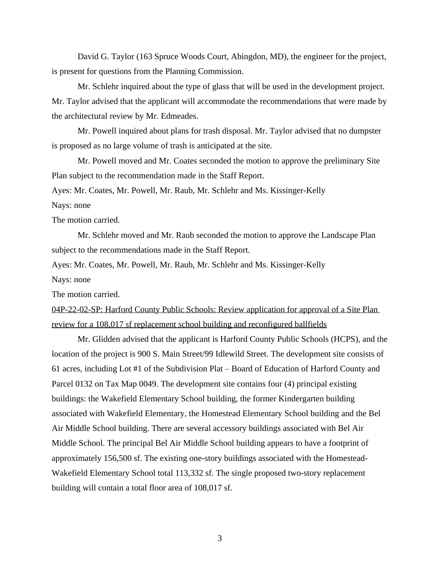David G. Taylor (163 Spruce Woods Court, Abingdon, MD), the engineer for the project, is present for questions from the Planning Commission.

Mr. Schlehr inquired about the type of glass that will be used in the development project. Mr. Taylor advised that the applicant will accommodate the recommendations that were made by the architectural review by Mr. Edmeades.

Mr. Powell inquired about plans for trash disposal. Mr. Taylor advised that no dumpster is proposed as no large volume of trash is anticipated at the site.

Mr. Powell moved and Mr. Coates seconded the motion to approve the preliminary Site Plan subject to the recommendation made in the Staff Report.

Ayes: Mr. Coates, Mr. Powell, Mr. Raub, Mr. Schlehr and Ms. Kissinger-Kelly

Nays: none

The motion carried.

Mr. Schlehr moved and Mr. Raub seconded the motion to approve the Landscape Plan subject to the recommendations made in the Staff Report.

Ayes: Mr. Coates, Mr. Powell, Mr. Raub, Mr. Schlehr and Ms. Kissinger-Kelly

Nays: none

The motion carried.

04P-22-02-SP: Harford County Public Schools: Review application for approval of a Site Plan review for a 108,017 sf replacement school building and reconfigured ballfields

Mr. Glidden advised that the applicant is Harford County Public Schools (HCPS), and the location of the project is 900 S. Main Street/99 Idlewild Street. The development site consists of 61 acres, including Lot #1 of the Subdivision Plat – Board of Education of Harford County and Parcel 0132 on Tax Map 0049. The development site contains four (4) principal existing buildings: the Wakefield Elementary School building, the former Kindergarten building associated with Wakefield Elementary, the Homestead Elementary School building and the Bel Air Middle School building. There are several accessory buildings associated with Bel Air Middle School. The principal Bel Air Middle School building appears to have a footprint of approximately 156,500 sf. The existing one-story buildings associated with the Homestead-Wakefield Elementary School total 113,332 sf. The single proposed two-story replacement building will contain a total floor area of 108,017 sf.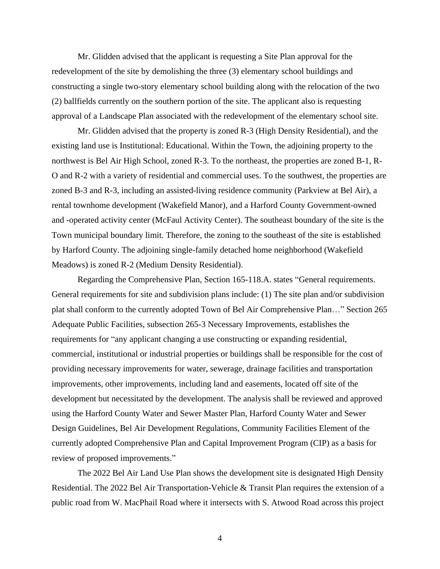Mr. Glidden advised that the applicant is requesting a Site Plan approval for the redevelopment of the site by demolishing the three (3) elementary school buildings and constructing a single two-story elementary school building along with the relocation of the two (2) ballfields currently on the southern portion of the site. The applicant also is requesting approval of a Landscape Plan associated with the redevelopment of the elementary school site.

Mr. Glidden advised that the property is zoned R-3 (High Density Residential), and the existing land use is Institutional: Educational. Within the Town, the adjoining property to the northwest is Bel Air High School, zoned R-3. To the northeast, the properties are zoned B-1, R-O and R-2 with a variety of residential and commercial uses. To the southwest, the properties are zoned B-3 and R-3, including an assisted-living residence community (Parkview at Bel Air), a rental townhome development (Wakefield Manor), and a Harford County Government-owned and -operated activity center (McFaul Activity Center). The southeast boundary of the site is the Town municipal boundary limit. Therefore, the zoning to the southeast of the site is established by Harford County. The adjoining single-family detached home neighborhood (Wakefield Meadows) is zoned R-2 (Medium Density Residential).

Regarding the Comprehensive Plan, Section 165-118.A. states "General requirements. General requirements for site and subdivision plans include: (1) The site plan and/or subdivision plat shall conform to the currently adopted Town of Bel Air Comprehensive Plan…" Section 265 Adequate Public Facilities, subsection 265-3 Necessary Improvements, establishes the requirements for "any applicant changing a use constructing or expanding residential, commercial, institutional or industrial properties or buildings shall be responsible for the cost of providing necessary improvements for water, sewerage, drainage facilities and transportation improvements, other improvements, including land and easements, located off site of the development but necessitated by the development. The analysis shall be reviewed and approved using the Harford County Water and Sewer Master Plan, Harford County Water and Sewer Design Guidelines, Bel Air Development Regulations, Community Facilities Element of the currently adopted Comprehensive Plan and Capital Improvement Program (CIP) as a basis for review of proposed improvements."

The 2022 Bel Air Land Use Plan shows the development site is designated High Density Residential. The 2022 Bel Air Transportation-Vehicle & Transit Plan requires the extension of a public road from W. MacPhail Road where it intersects with S. Atwood Road across this project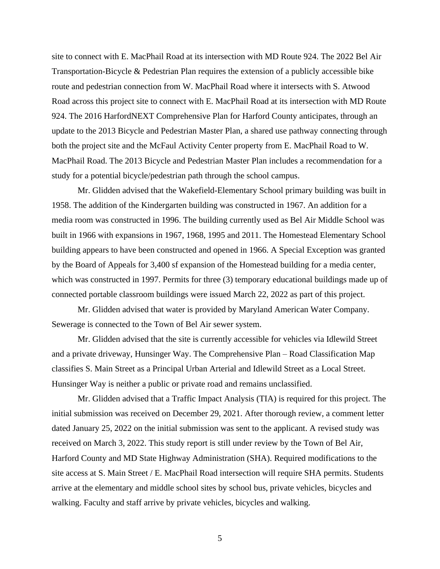site to connect with E. MacPhail Road at its intersection with MD Route 924. The 2022 Bel Air Transportation-Bicycle & Pedestrian Plan requires the extension of a publicly accessible bike route and pedestrian connection from W. MacPhail Road where it intersects with S. Atwood Road across this project site to connect with E. MacPhail Road at its intersection with MD Route 924. The 2016 HarfordNEXT Comprehensive Plan for Harford County anticipates, through an update to the 2013 Bicycle and Pedestrian Master Plan, a shared use pathway connecting through both the project site and the McFaul Activity Center property from E. MacPhail Road to W. MacPhail Road. The 2013 Bicycle and Pedestrian Master Plan includes a recommendation for a study for a potential bicycle/pedestrian path through the school campus.

Mr. Glidden advised that the Wakefield-Elementary School primary building was built in 1958. The addition of the Kindergarten building was constructed in 1967. An addition for a media room was constructed in 1996. The building currently used as Bel Air Middle School was built in 1966 with expansions in 1967, 1968, 1995 and 2011. The Homestead Elementary School building appears to have been constructed and opened in 1966. A Special Exception was granted by the Board of Appeals for 3,400 sf expansion of the Homestead building for a media center, which was constructed in 1997. Permits for three (3) temporary educational buildings made up of connected portable classroom buildings were issued March 22, 2022 as part of this project.

Mr. Glidden advised that water is provided by Maryland American Water Company. Sewerage is connected to the Town of Bel Air sewer system.

Mr. Glidden advised that the site is currently accessible for vehicles via Idlewild Street and a private driveway, Hunsinger Way. The Comprehensive Plan – Road Classification Map classifies S. Main Street as a Principal Urban Arterial and Idlewild Street as a Local Street. Hunsinger Way is neither a public or private road and remains unclassified.

Mr. Glidden advised that a Traffic Impact Analysis (TIA) is required for this project. The initial submission was received on December 29, 2021. After thorough review, a comment letter dated January 25, 2022 on the initial submission was sent to the applicant. A revised study was received on March 3, 2022. This study report is still under review by the Town of Bel Air, Harford County and MD State Highway Administration (SHA). Required modifications to the site access at S. Main Street / E. MacPhail Road intersection will require SHA permits. Students arrive at the elementary and middle school sites by school bus, private vehicles, bicycles and walking. Faculty and staff arrive by private vehicles, bicycles and walking.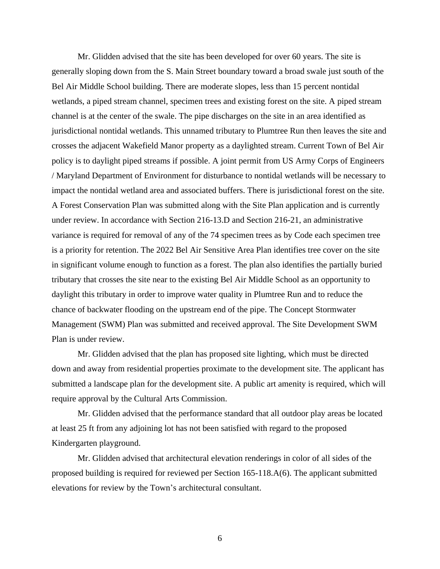Mr. Glidden advised that the site has been developed for over 60 years. The site is generally sloping down from the S. Main Street boundary toward a broad swale just south of the Bel Air Middle School building. There are moderate slopes, less than 15 percent nontidal wetlands, a piped stream channel, specimen trees and existing forest on the site. A piped stream channel is at the center of the swale. The pipe discharges on the site in an area identified as jurisdictional nontidal wetlands. This unnamed tributary to Plumtree Run then leaves the site and crosses the adjacent Wakefield Manor property as a daylighted stream. Current Town of Bel Air policy is to daylight piped streams if possible. A joint permit from US Army Corps of Engineers / Maryland Department of Environment for disturbance to nontidal wetlands will be necessary to impact the nontidal wetland area and associated buffers. There is jurisdictional forest on the site. A Forest Conservation Plan was submitted along with the Site Plan application and is currently under review. In accordance with Section 216-13.D and Section 216-21, an administrative variance is required for removal of any of the 74 specimen trees as by Code each specimen tree is a priority for retention. The 2022 Bel Air Sensitive Area Plan identifies tree cover on the site in significant volume enough to function as a forest. The plan also identifies the partially buried tributary that crosses the site near to the existing Bel Air Middle School as an opportunity to daylight this tributary in order to improve water quality in Plumtree Run and to reduce the chance of backwater flooding on the upstream end of the pipe. The Concept Stormwater Management (SWM) Plan was submitted and received approval. The Site Development SWM Plan is under review.

Mr. Glidden advised that the plan has proposed site lighting, which must be directed down and away from residential properties proximate to the development site. The applicant has submitted a landscape plan for the development site. A public art amenity is required, which will require approval by the Cultural Arts Commission.

Mr. Glidden advised that the performance standard that all outdoor play areas be located at least 25 ft from any adjoining lot has not been satisfied with regard to the proposed Kindergarten playground.

Mr. Glidden advised that architectural elevation renderings in color of all sides of the proposed building is required for reviewed per Section 165-118.A(6). The applicant submitted elevations for review by the Town's architectural consultant.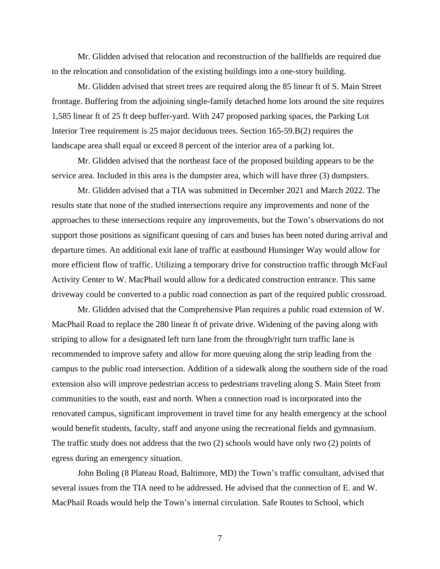Mr. Glidden advised that relocation and reconstruction of the ballfields are required due to the relocation and consolidation of the existing buildings into a one-story building.

Mr. Glidden advised that street trees are required along the 85 linear ft of S. Main Street frontage. Buffering from the adjoining single-family detached home lots around the site requires 1,585 linear ft of 25 ft deep buffer-yard. With 247 proposed parking spaces, the Parking Lot Interior Tree requirement is 25 major deciduous trees. Section 165-59.B(2) requires the landscape area shall equal or exceed 8 percent of the interior area of a parking lot.

Mr. Glidden advised that the northeast face of the proposed building appears to be the service area. Included in this area is the dumpster area, which will have three (3) dumpsters.

Mr. Glidden advised that a TIA was submitted in December 2021 and March 2022. The results state that none of the studied intersections require any improvements and none of the approaches to these intersections require any improvements, but the Town's observations do not support those positions as significant queuing of cars and buses has been noted during arrival and departure times. An additional exit lane of traffic at eastbound Hunsinger Way would allow for more efficient flow of traffic. Utilizing a temporary drive for construction traffic through McFaul Activity Center to W. MacPhail would allow for a dedicated construction entrance. This same driveway could be converted to a public road connection as part of the required public crossroad.

Mr. Glidden advised that the Comprehensive Plan requires a public road extension of W. MacPhail Road to replace the 280 linear ft of private drive. Widening of the paving along with striping to allow for a designated left turn lane from the through/right turn traffic lane is recommended to improve safety and allow for more queuing along the strip leading from the campus to the public road intersection. Addition of a sidewalk along the southern side of the road extension also will improve pedestrian access to pedestrians traveling along S. Main Steet from communities to the south, east and north. When a connection road is incorporated into the renovated campus, significant improvement in travel time for any health emergency at the school would benefit students, faculty, staff and anyone using the recreational fields and gymnasium. The traffic study does not address that the two (2) schools would have only two (2) points of egress during an emergency situation.

John Boling (8 Plateau Road, Baltimore, MD) the Town's traffic consultant, advised that several issues from the TIA need to be addressed. He advised that the connection of E. and W. MacPhail Roads would help the Town's internal circulation. Safe Routes to School, which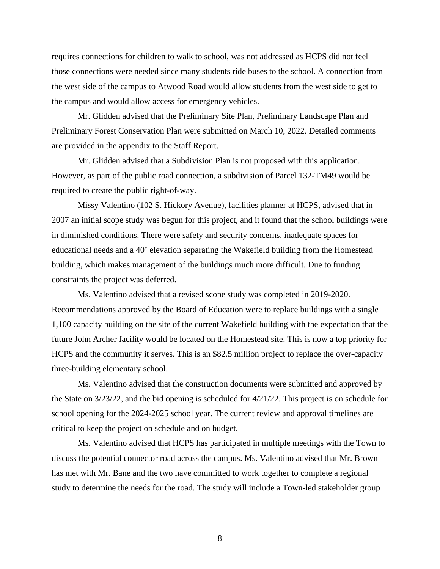requires connections for children to walk to school, was not addressed as HCPS did not feel those connections were needed since many students ride buses to the school. A connection from the west side of the campus to Atwood Road would allow students from the west side to get to the campus and would allow access for emergency vehicles.

Mr. Glidden advised that the Preliminary Site Plan, Preliminary Landscape Plan and Preliminary Forest Conservation Plan were submitted on March 10, 2022. Detailed comments are provided in the appendix to the Staff Report.

Mr. Glidden advised that a Subdivision Plan is not proposed with this application. However, as part of the public road connection, a subdivision of Parcel 132-TM49 would be required to create the public right-of-way.

Missy Valentino (102 S. Hickory Avenue), facilities planner at HCPS, advised that in 2007 an initial scope study was begun for this project, and it found that the school buildings were in diminished conditions. There were safety and security concerns, inadequate spaces for educational needs and a 40' elevation separating the Wakefield building from the Homestead building, which makes management of the buildings much more difficult. Due to funding constraints the project was deferred.

Ms. Valentino advised that a revised scope study was completed in 2019-2020. Recommendations approved by the Board of Education were to replace buildings with a single 1,100 capacity building on the site of the current Wakefield building with the expectation that the future John Archer facility would be located on the Homestead site. This is now a top priority for HCPS and the community it serves. This is an \$82.5 million project to replace the over-capacity three-building elementary school.

Ms. Valentino advised that the construction documents were submitted and approved by the State on 3/23/22, and the bid opening is scheduled for 4/21/22. This project is on schedule for school opening for the 2024-2025 school year. The current review and approval timelines are critical to keep the project on schedule and on budget.

Ms. Valentino advised that HCPS has participated in multiple meetings with the Town to discuss the potential connector road across the campus. Ms. Valentino advised that Mr. Brown has met with Mr. Bane and the two have committed to work together to complete a regional study to determine the needs for the road. The study will include a Town-led stakeholder group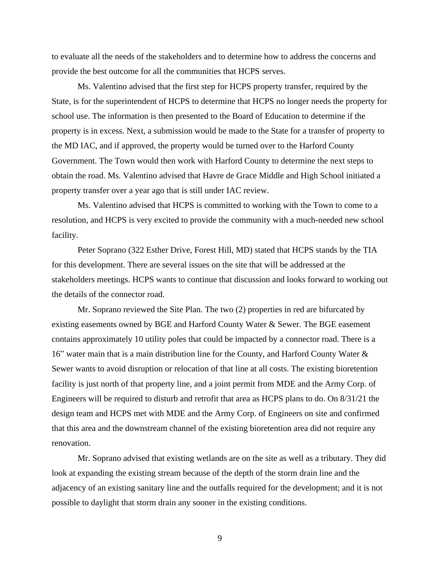to evaluate all the needs of the stakeholders and to determine how to address the concerns and provide the best outcome for all the communities that HCPS serves.

Ms. Valentino advised that the first step for HCPS property transfer, required by the State, is for the superintendent of HCPS to determine that HCPS no longer needs the property for school use. The information is then presented to the Board of Education to determine if the property is in excess. Next, a submission would be made to the State for a transfer of property to the MD IAC, and if approved, the property would be turned over to the Harford County Government. The Town would then work with Harford County to determine the next steps to obtain the road. Ms. Valentino advised that Havre de Grace Middle and High School initiated a property transfer over a year ago that is still under IAC review.

Ms. Valentino advised that HCPS is committed to working with the Town to come to a resolution, and HCPS is very excited to provide the community with a much-needed new school facility.

Peter Soprano (322 Esther Drive, Forest Hill, MD) stated that HCPS stands by the TIA for this development. There are several issues on the site that will be addressed at the stakeholders meetings. HCPS wants to continue that discussion and looks forward to working out the details of the connector road.

Mr. Soprano reviewed the Site Plan. The two (2) properties in red are bifurcated by existing easements owned by BGE and Harford County Water & Sewer. The BGE easement contains approximately 10 utility poles that could be impacted by a connector road. There is a 16" water main that is a main distribution line for the County, and Harford County Water & Sewer wants to avoid disruption or relocation of that line at all costs. The existing bioretention facility is just north of that property line, and a joint permit from MDE and the Army Corp. of Engineers will be required to disturb and retrofit that area as HCPS plans to do. On 8/31/21 the design team and HCPS met with MDE and the Army Corp. of Engineers on site and confirmed that this area and the downstream channel of the existing bioretention area did not require any renovation.

Mr. Soprano advised that existing wetlands are on the site as well as a tributary. They did look at expanding the existing stream because of the depth of the storm drain line and the adjacency of an existing sanitary line and the outfalls required for the development; and it is not possible to daylight that storm drain any sooner in the existing conditions.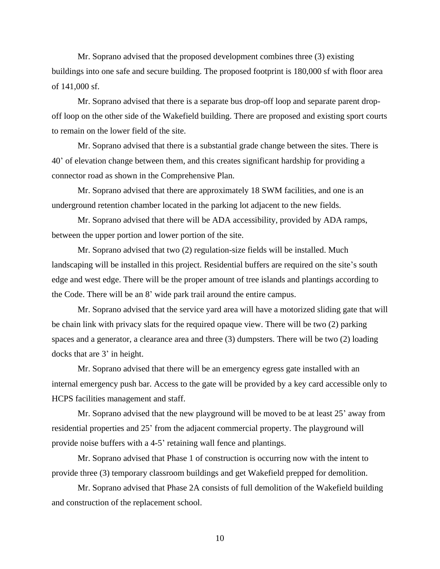Mr. Soprano advised that the proposed development combines three (3) existing buildings into one safe and secure building. The proposed footprint is 180,000 sf with floor area of 141,000 sf.

Mr. Soprano advised that there is a separate bus drop-off loop and separate parent dropoff loop on the other side of the Wakefield building. There are proposed and existing sport courts to remain on the lower field of the site.

Mr. Soprano advised that there is a substantial grade change between the sites. There is 40' of elevation change between them, and this creates significant hardship for providing a connector road as shown in the Comprehensive Plan.

Mr. Soprano advised that there are approximately 18 SWM facilities, and one is an underground retention chamber located in the parking lot adjacent to the new fields.

Mr. Soprano advised that there will be ADA accessibility, provided by ADA ramps, between the upper portion and lower portion of the site.

Mr. Soprano advised that two (2) regulation-size fields will be installed. Much landscaping will be installed in this project. Residential buffers are required on the site's south edge and west edge. There will be the proper amount of tree islands and plantings according to the Code. There will be an 8' wide park trail around the entire campus.

Mr. Soprano advised that the service yard area will have a motorized sliding gate that will be chain link with privacy slats for the required opaque view. There will be two (2) parking spaces and a generator, a clearance area and three (3) dumpsters. There will be two (2) loading docks that are 3' in height.

Mr. Soprano advised that there will be an emergency egress gate installed with an internal emergency push bar. Access to the gate will be provided by a key card accessible only to HCPS facilities management and staff.

Mr. Soprano advised that the new playground will be moved to be at least 25' away from residential properties and 25' from the adjacent commercial property. The playground will provide noise buffers with a 4-5' retaining wall fence and plantings.

Mr. Soprano advised that Phase 1 of construction is occurring now with the intent to provide three (3) temporary classroom buildings and get Wakefield prepped for demolition.

Mr. Soprano advised that Phase 2A consists of full demolition of the Wakefield building and construction of the replacement school.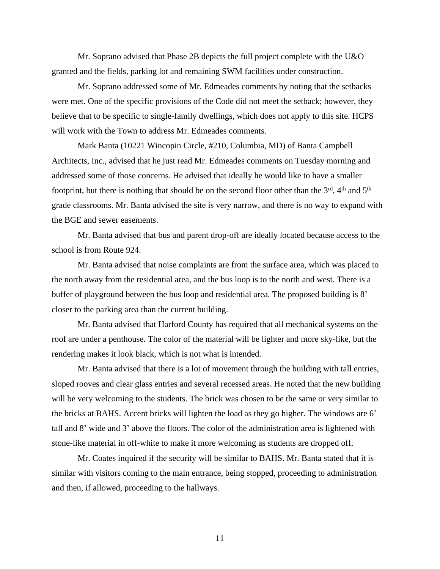Mr. Soprano advised that Phase 2B depicts the full project complete with the U&O granted and the fields, parking lot and remaining SWM facilities under construction.

Mr. Soprano addressed some of Mr. Edmeades comments by noting that the setbacks were met. One of the specific provisions of the Code did not meet the setback; however, they believe that to be specific to single-family dwellings, which does not apply to this site. HCPS will work with the Town to address Mr. Edmeades comments.

Mark Banta (10221 Wincopin Circle, #210, Columbia, MD) of Banta Campbell Architects, Inc., advised that he just read Mr. Edmeades comments on Tuesday morning and addressed some of those concerns. He advised that ideally he would like to have a smaller footprint, but there is nothing that should be on the second floor other than the 3<sup>rd</sup>, 4<sup>th</sup> and 5<sup>th</sup> grade classrooms. Mr. Banta advised the site is very narrow, and there is no way to expand with the BGE and sewer easements.

Mr. Banta advised that bus and parent drop-off are ideally located because access to the school is from Route 924.

Mr. Banta advised that noise complaints are from the surface area, which was placed to the north away from the residential area, and the bus loop is to the north and west. There is a buffer of playground between the bus loop and residential area. The proposed building is 8' closer to the parking area than the current building.

Mr. Banta advised that Harford County has required that all mechanical systems on the roof are under a penthouse. The color of the material will be lighter and more sky-like, but the rendering makes it look black, which is not what is intended.

Mr. Banta advised that there is a lot of movement through the building with tall entries, sloped rooves and clear glass entries and several recessed areas. He noted that the new building will be very welcoming to the students. The brick was chosen to be the same or very similar to the bricks at BAHS. Accent bricks will lighten the load as they go higher. The windows are 6' tall and 8' wide and 3' above the floors. The color of the administration area is lightened with stone-like material in off-white to make it more welcoming as students are dropped off.

Mr. Coates inquired if the security will be similar to BAHS. Mr. Banta stated that it is similar with visitors coming to the main entrance, being stopped, proceeding to administration and then, if allowed, proceeding to the hallways.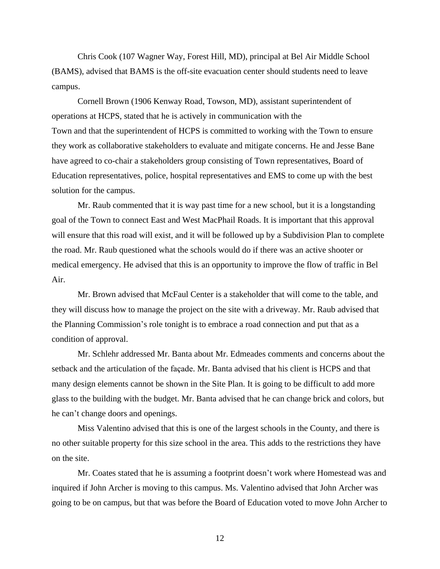Chris Cook (107 Wagner Way, Forest Hill, MD), principal at Bel Air Middle School (BAMS), advised that BAMS is the off-site evacuation center should students need to leave campus.

Cornell Brown (1906 Kenway Road, Towson, MD), assistant superintendent of operations at HCPS, stated that he is actively in communication with the Town and that the superintendent of HCPS is committed to working with the Town to ensure they work as collaborative stakeholders to evaluate and mitigate concerns. He and Jesse Bane have agreed to co-chair a stakeholders group consisting of Town representatives, Board of Education representatives, police, hospital representatives and EMS to come up with the best solution for the campus.

Mr. Raub commented that it is way past time for a new school, but it is a longstanding goal of the Town to connect East and West MacPhail Roads. It is important that this approval will ensure that this road will exist, and it will be followed up by a Subdivision Plan to complete the road. Mr. Raub questioned what the schools would do if there was an active shooter or medical emergency. He advised that this is an opportunity to improve the flow of traffic in Bel Air.

Mr. Brown advised that McFaul Center is a stakeholder that will come to the table, and they will discuss how to manage the project on the site with a driveway. Mr. Raub advised that the Planning Commission's role tonight is to embrace a road connection and put that as a condition of approval.

Mr. Schlehr addressed Mr. Banta about Mr. Edmeades comments and concerns about the setback and the articulation of the façade. Mr. Banta advised that his client is HCPS and that many design elements cannot be shown in the Site Plan. It is going to be difficult to add more glass to the building with the budget. Mr. Banta advised that he can change brick and colors, but he can't change doors and openings.

Miss Valentino advised that this is one of the largest schools in the County, and there is no other suitable property for this size school in the area. This adds to the restrictions they have on the site.

Mr. Coates stated that he is assuming a footprint doesn't work where Homestead was and inquired if John Archer is moving to this campus. Ms. Valentino advised that John Archer was going to be on campus, but that was before the Board of Education voted to move John Archer to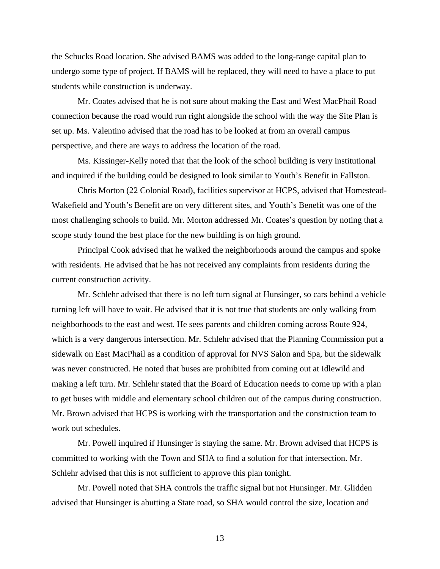the Schucks Road location. She advised BAMS was added to the long-range capital plan to undergo some type of project. If BAMS will be replaced, they will need to have a place to put students while construction is underway.

Mr. Coates advised that he is not sure about making the East and West MacPhail Road connection because the road would run right alongside the school with the way the Site Plan is set up. Ms. Valentino advised that the road has to be looked at from an overall campus perspective, and there are ways to address the location of the road.

Ms. Kissinger-Kelly noted that that the look of the school building is very institutional and inquired if the building could be designed to look similar to Youth's Benefit in Fallston.

Chris Morton (22 Colonial Road), facilities supervisor at HCPS, advised that Homestead-Wakefield and Youth's Benefit are on very different sites, and Youth's Benefit was one of the most challenging schools to build. Mr. Morton addressed Mr. Coates's question by noting that a scope study found the best place for the new building is on high ground.

Principal Cook advised that he walked the neighborhoods around the campus and spoke with residents. He advised that he has not received any complaints from residents during the current construction activity.

Mr. Schlehr advised that there is no left turn signal at Hunsinger, so cars behind a vehicle turning left will have to wait. He advised that it is not true that students are only walking from neighborhoods to the east and west. He sees parents and children coming across Route 924, which is a very dangerous intersection. Mr. Schlehr advised that the Planning Commission put a sidewalk on East MacPhail as a condition of approval for NVS Salon and Spa, but the sidewalk was never constructed. He noted that buses are prohibited from coming out at Idlewild and making a left turn. Mr. Schlehr stated that the Board of Education needs to come up with a plan to get buses with middle and elementary school children out of the campus during construction. Mr. Brown advised that HCPS is working with the transportation and the construction team to work out schedules.

Mr. Powell inquired if Hunsinger is staying the same. Mr. Brown advised that HCPS is committed to working with the Town and SHA to find a solution for that intersection. Mr. Schlehr advised that this is not sufficient to approve this plan tonight.

Mr. Powell noted that SHA controls the traffic signal but not Hunsinger. Mr. Glidden advised that Hunsinger is abutting a State road, so SHA would control the size, location and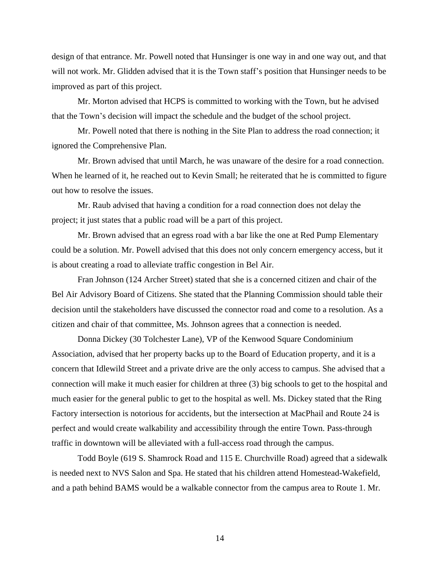design of that entrance. Mr. Powell noted that Hunsinger is one way in and one way out, and that will not work. Mr. Glidden advised that it is the Town staff's position that Hunsinger needs to be improved as part of this project.

Mr. Morton advised that HCPS is committed to working with the Town, but he advised that the Town's decision will impact the schedule and the budget of the school project.

Mr. Powell noted that there is nothing in the Site Plan to address the road connection; it ignored the Comprehensive Plan.

Mr. Brown advised that until March, he was unaware of the desire for a road connection. When he learned of it, he reached out to Kevin Small; he reiterated that he is committed to figure out how to resolve the issues.

Mr. Raub advised that having a condition for a road connection does not delay the project; it just states that a public road will be a part of this project.

Mr. Brown advised that an egress road with a bar like the one at Red Pump Elementary could be a solution. Mr. Powell advised that this does not only concern emergency access, but it is about creating a road to alleviate traffic congestion in Bel Air.

Fran Johnson (124 Archer Street) stated that she is a concerned citizen and chair of the Bel Air Advisory Board of Citizens. She stated that the Planning Commission should table their decision until the stakeholders have discussed the connector road and come to a resolution. As a citizen and chair of that committee, Ms. Johnson agrees that a connection is needed.

Donna Dickey (30 Tolchester Lane), VP of the Kenwood Square Condominium Association, advised that her property backs up to the Board of Education property, and it is a concern that Idlewild Street and a private drive are the only access to campus. She advised that a connection will make it much easier for children at three (3) big schools to get to the hospital and much easier for the general public to get to the hospital as well. Ms. Dickey stated that the Ring Factory intersection is notorious for accidents, but the intersection at MacPhail and Route 24 is perfect and would create walkability and accessibility through the entire Town. Pass-through traffic in downtown will be alleviated with a full-access road through the campus.

Todd Boyle (619 S. Shamrock Road and 115 E. Churchville Road) agreed that a sidewalk is needed next to NVS Salon and Spa. He stated that his children attend Homestead-Wakefield, and a path behind BAMS would be a walkable connector from the campus area to Route 1. Mr.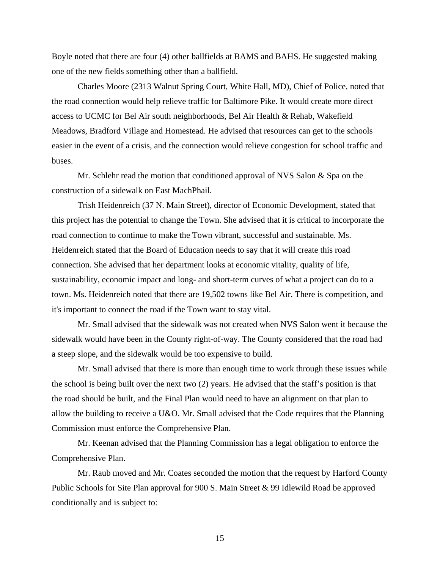Boyle noted that there are four (4) other ballfields at BAMS and BAHS. He suggested making one of the new fields something other than a ballfield.

Charles Moore (2313 Walnut Spring Court, White Hall, MD), Chief of Police, noted that the road connection would help relieve traffic for Baltimore Pike. It would create more direct access to UCMC for Bel Air south neighborhoods, Bel Air Health & Rehab, Wakefield Meadows, Bradford Village and Homestead. He advised that resources can get to the schools easier in the event of a crisis, and the connection would relieve congestion for school traffic and buses.

Mr. Schlehr read the motion that conditioned approval of NVS Salon & Spa on the construction of a sidewalk on East MachPhail.

Trish Heidenreich (37 N. Main Street), director of Economic Development, stated that this project has the potential to change the Town. She advised that it is critical to incorporate the road connection to continue to make the Town vibrant, successful and sustainable. Ms. Heidenreich stated that the Board of Education needs to say that it will create this road connection. She advised that her department looks at economic vitality, quality of life, sustainability, economic impact and long- and short-term curves of what a project can do to a town. Ms. Heidenreich noted that there are 19,502 towns like Bel Air. There is competition, and it's important to connect the road if the Town want to stay vital.

Mr. Small advised that the sidewalk was not created when NVS Salon went it because the sidewalk would have been in the County right-of-way. The County considered that the road had a steep slope, and the sidewalk would be too expensive to build.

Mr. Small advised that there is more than enough time to work through these issues while the school is being built over the next two (2) years. He advised that the staff's position is that the road should be built, and the Final Plan would need to have an alignment on that plan to allow the building to receive a U&O. Mr. Small advised that the Code requires that the Planning Commission must enforce the Comprehensive Plan.

Mr. Keenan advised that the Planning Commission has a legal obligation to enforce the Comprehensive Plan.

Mr. Raub moved and Mr. Coates seconded the motion that the request by Harford County Public Schools for Site Plan approval for 900 S. Main Street & 99 Idlewild Road be approved conditionally and is subject to: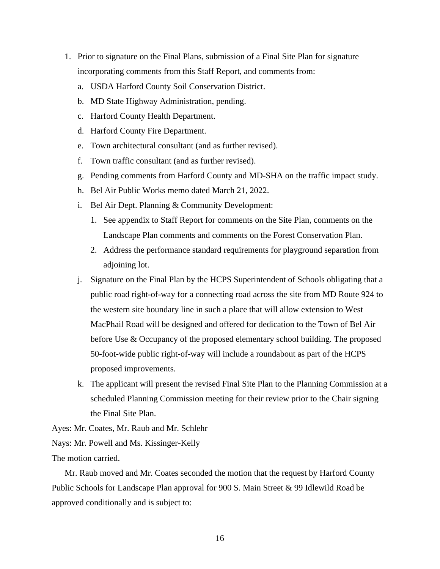- 1. Prior to signature on the Final Plans, submission of a Final Site Plan for signature incorporating comments from this Staff Report, and comments from:
	- a. USDA Harford County Soil Conservation District.
	- b. MD State Highway Administration, pending.
	- c. Harford County Health Department.
	- d. Harford County Fire Department.
	- e. Town architectural consultant (and as further revised).
	- f. Town traffic consultant (and as further revised).
	- g. Pending comments from Harford County and MD-SHA on the traffic impact study.
	- h. Bel Air Public Works memo dated March 21, 2022.
	- i. Bel Air Dept. Planning & Community Development:
		- 1. See appendix to Staff Report for comments on the Site Plan, comments on the Landscape Plan comments and comments on the Forest Conservation Plan.
		- 2. Address the performance standard requirements for playground separation from adjoining lot.
	- j. Signature on the Final Plan by the HCPS Superintendent of Schools obligating that a public road right-of-way for a connecting road across the site from MD Route 924 to the western site boundary line in such a place that will allow extension to West MacPhail Road will be designed and offered for dedication to the Town of Bel Air before Use & Occupancy of the proposed elementary school building. The proposed 50-foot-wide public right-of-way will include a roundabout as part of the HCPS proposed improvements.
	- k. The applicant will present the revised Final Site Plan to the Planning Commission at a scheduled Planning Commission meeting for their review prior to the Chair signing the Final Site Plan.

Ayes: Mr. Coates, Mr. Raub and Mr. Schlehr

Nays: Mr. Powell and Ms. Kissinger-Kelly

The motion carried.

Mr. Raub moved and Mr. Coates seconded the motion that the request by Harford County Public Schools for Landscape Plan approval for 900 S. Main Street & 99 Idlewild Road be approved conditionally and is subject to: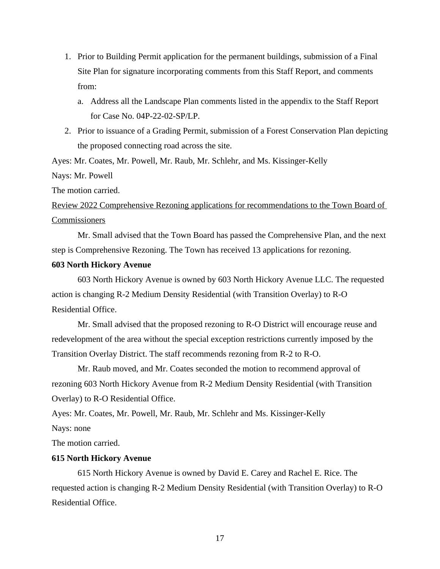- 1. Prior to Building Permit application for the permanent buildings, submission of a Final Site Plan for signature incorporating comments from this Staff Report, and comments from:
	- a. Address all the Landscape Plan comments listed in the appendix to the Staff Report for Case No. 04P-22-02-SP/LP.
- 2. Prior to issuance of a Grading Permit, submission of a Forest Conservation Plan depicting the proposed connecting road across the site.

Ayes: Mr. Coates, Mr. Powell, Mr. Raub, Mr. Schlehr, and Ms. Kissinger-Kelly

Nays: Mr. Powell

The motion carried.

Review 2022 Comprehensive Rezoning applications for recommendations to the Town Board of **Commissioners** 

Mr. Small advised that the Town Board has passed the Comprehensive Plan, and the next step is Comprehensive Rezoning. The Town has received 13 applications for rezoning.

# **603 North Hickory Avenue**

603 North Hickory Avenue is owned by 603 North Hickory Avenue LLC. The requested action is changing R-2 Medium Density Residential (with Transition Overlay) to R-O Residential Office.

Mr. Small advised that the proposed rezoning to R-O District will encourage reuse and redevelopment of the area without the special exception restrictions currently imposed by the Transition Overlay District. The staff recommends rezoning from R-2 to R-O.

Mr. Raub moved, and Mr. Coates seconded the motion to recommend approval of rezoning 603 North Hickory Avenue from R-2 Medium Density Residential (with Transition Overlay) to R-O Residential Office.

Ayes: Mr. Coates, Mr. Powell, Mr. Raub, Mr. Schlehr and Ms. Kissinger-Kelly

Nays: none

The motion carried.

### **615 North Hickory Avenue**

615 North Hickory Avenue is owned by David E. Carey and Rachel E. Rice. The requested action is changing R-2 Medium Density Residential (with Transition Overlay) to R-O Residential Office.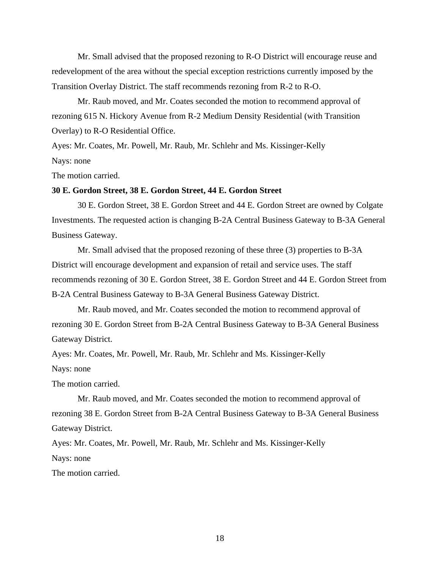Mr. Small advised that the proposed rezoning to R-O District will encourage reuse and redevelopment of the area without the special exception restrictions currently imposed by the Transition Overlay District. The staff recommends rezoning from R-2 to R-O.

Mr. Raub moved, and Mr. Coates seconded the motion to recommend approval of rezoning 615 N. Hickory Avenue from R-2 Medium Density Residential (with Transition Overlay) to R-O Residential Office.

Ayes: Mr. Coates, Mr. Powell, Mr. Raub, Mr. Schlehr and Ms. Kissinger-Kelly Nays: none

The motion carried.

### **30 E. Gordon Street, 38 E. Gordon Street, 44 E. Gordon Street**

30 E. Gordon Street, 38 E. Gordon Street and 44 E. Gordon Street are owned by Colgate Investments. The requested action is changing B-2A Central Business Gateway to B-3A General Business Gateway.

Mr. Small advised that the proposed rezoning of these three (3) properties to B-3A District will encourage development and expansion of retail and service uses. The staff recommends rezoning of 30 E. Gordon Street, 38 E. Gordon Street and 44 E. Gordon Street from B-2A Central Business Gateway to B-3A General Business Gateway District.

Mr. Raub moved, and Mr. Coates seconded the motion to recommend approval of rezoning 30 E. Gordon Street from B-2A Central Business Gateway to B-3A General Business Gateway District.

Ayes: Mr. Coates, Mr. Powell, Mr. Raub, Mr. Schlehr and Ms. Kissinger-Kelly

Nays: none

The motion carried.

Mr. Raub moved, and Mr. Coates seconded the motion to recommend approval of rezoning 38 E. Gordon Street from B-2A Central Business Gateway to B-3A General Business Gateway District.

Ayes: Mr. Coates, Mr. Powell, Mr. Raub, Mr. Schlehr and Ms. Kissinger-Kelly Nays: none

The motion carried.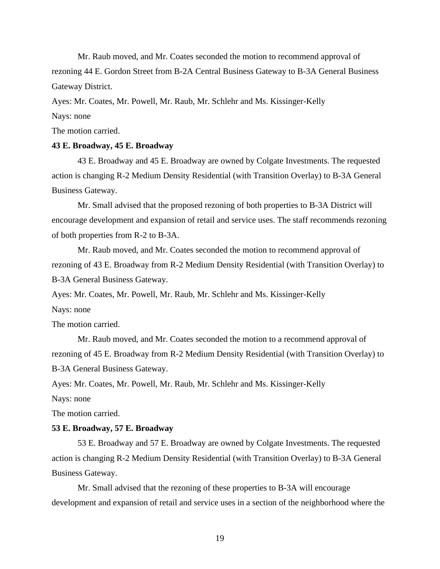Mr. Raub moved, and Mr. Coates seconded the motion to recommend approval of rezoning 44 E. Gordon Street from B-2A Central Business Gateway to B-3A General Business Gateway District.

Ayes: Mr. Coates, Mr. Powell, Mr. Raub, Mr. Schlehr and Ms. Kissinger-Kelly

Nays: none

The motion carried.

### **43 E. Broadway, 45 E. Broadway**

43 E. Broadway and 45 E. Broadway are owned by Colgate Investments. The requested action is changing R-2 Medium Density Residential (with Transition Overlay) to B-3A General Business Gateway.

Mr. Small advised that the proposed rezoning of both properties to B-3A District will encourage development and expansion of retail and service uses. The staff recommends rezoning of both properties from R-2 to B-3A.

Mr. Raub moved, and Mr. Coates seconded the motion to recommend approval of rezoning of 43 E. Broadway from R-2 Medium Density Residential (with Transition Overlay) to B-3A General Business Gateway.

Ayes: Mr. Coates, Mr. Powell, Mr. Raub, Mr. Schlehr and Ms. Kissinger-Kelly

Nays: none

The motion carried.

Mr. Raub moved, and Mr. Coates seconded the motion to a recommend approval of rezoning of 45 E. Broadway from R-2 Medium Density Residential (with Transition Overlay) to B-3A General Business Gateway.

Ayes: Mr. Coates, Mr. Powell, Mr. Raub, Mr. Schlehr and Ms. Kissinger-Kelly

Nays: none

The motion carried.

#### **53 E. Broadway, 57 E. Broadway**

53 E. Broadway and 57 E. Broadway are owned by Colgate Investments. The requested action is changing R-2 Medium Density Residential (with Transition Overlay) to B-3A General Business Gateway.

Mr. Small advised that the rezoning of these properties to B-3A will encourage development and expansion of retail and service uses in a section of the neighborhood where the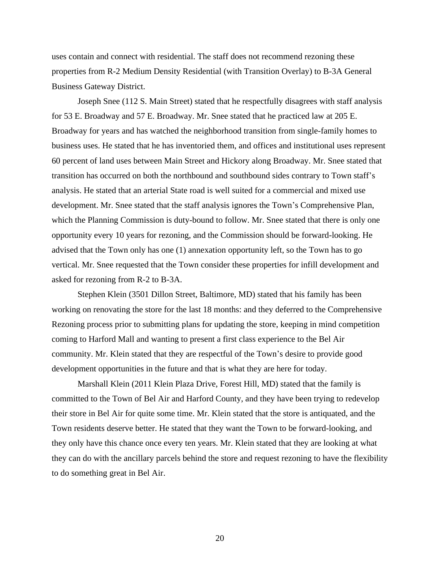uses contain and connect with residential. The staff does not recommend rezoning these properties from R-2 Medium Density Residential (with Transition Overlay) to B-3A General Business Gateway District.

Joseph Snee (112 S. Main Street) stated that he respectfully disagrees with staff analysis for 53 E. Broadway and 57 E. Broadway. Mr. Snee stated that he practiced law at 205 E. Broadway for years and has watched the neighborhood transition from single-family homes to business uses. He stated that he has inventoried them, and offices and institutional uses represent 60 percent of land uses between Main Street and Hickory along Broadway. Mr. Snee stated that transition has occurred on both the northbound and southbound sides contrary to Town staff's analysis. He stated that an arterial State road is well suited for a commercial and mixed use development. Mr. Snee stated that the staff analysis ignores the Town's Comprehensive Plan, which the Planning Commission is duty-bound to follow. Mr. Snee stated that there is only one opportunity every 10 years for rezoning, and the Commission should be forward-looking. He advised that the Town only has one (1) annexation opportunity left, so the Town has to go vertical. Mr. Snee requested that the Town consider these properties for infill development and asked for rezoning from R-2 to B-3A.

Stephen Klein (3501 Dillon Street, Baltimore, MD) stated that his family has been working on renovating the store for the last 18 months: and they deferred to the Comprehensive Rezoning process prior to submitting plans for updating the store, keeping in mind competition coming to Harford Mall and wanting to present a first class experience to the Bel Air community. Mr. Klein stated that they are respectful of the Town's desire to provide good development opportunities in the future and that is what they are here for today.

Marshall Klein (2011 Klein Plaza Drive, Forest Hill, MD) stated that the family is committed to the Town of Bel Air and Harford County, and they have been trying to redevelop their store in Bel Air for quite some time. Mr. Klein stated that the store is antiquated, and the Town residents deserve better. He stated that they want the Town to be forward-looking, and they only have this chance once every ten years. Mr. Klein stated that they are looking at what they can do with the ancillary parcels behind the store and request rezoning to have the flexibility to do something great in Bel Air.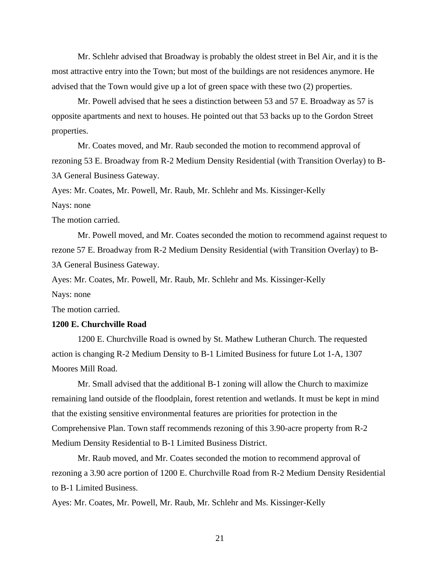Mr. Schlehr advised that Broadway is probably the oldest street in Bel Air, and it is the most attractive entry into the Town; but most of the buildings are not residences anymore. He advised that the Town would give up a lot of green space with these two (2) properties.

Mr. Powell advised that he sees a distinction between 53 and 57 E. Broadway as 57 is opposite apartments and next to houses. He pointed out that 53 backs up to the Gordon Street properties.

Mr. Coates moved, and Mr. Raub seconded the motion to recommend approval of rezoning 53 E. Broadway from R-2 Medium Density Residential (with Transition Overlay) to B-3A General Business Gateway.

Ayes: Mr. Coates, Mr. Powell, Mr. Raub, Mr. Schlehr and Ms. Kissinger-Kelly

Nays: none

The motion carried.

Mr. Powell moved, and Mr. Coates seconded the motion to recommend against request to rezone 57 E. Broadway from R-2 Medium Density Residential (with Transition Overlay) to B-3A General Business Gateway.

Ayes: Mr. Coates, Mr. Powell, Mr. Raub, Mr. Schlehr and Ms. Kissinger-Kelly

Nays: none

The motion carried.

# **1200 E. Churchville Road**

1200 E. Churchville Road is owned by St. Mathew Lutheran Church. The requested action is changing R-2 Medium Density to B-1 Limited Business for future Lot 1-A, 1307 Moores Mill Road.

Mr. Small advised that the additional B-1 zoning will allow the Church to maximize remaining land outside of the floodplain, forest retention and wetlands. It must be kept in mind that the existing sensitive environmental features are priorities for protection in the Comprehensive Plan. Town staff recommends rezoning of this 3.90-acre property from R-2 Medium Density Residential to B-1 Limited Business District.

Mr. Raub moved, and Mr. Coates seconded the motion to recommend approval of rezoning a 3.90 acre portion of 1200 E. Churchville Road from R-2 Medium Density Residential to B-1 Limited Business.

Ayes: Mr. Coates, Mr. Powell, Mr. Raub, Mr. Schlehr and Ms. Kissinger-Kelly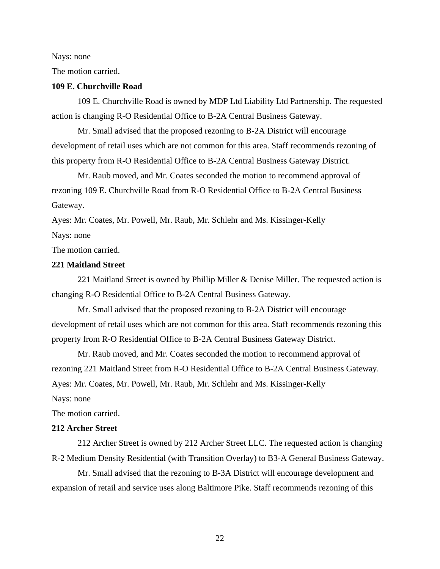#### Nays: none

The motion carried.

### **109 E. Churchville Road**

109 E. Churchville Road is owned by MDP Ltd Liability Ltd Partnership. The requested action is changing R-O Residential Office to B-2A Central Business Gateway.

Mr. Small advised that the proposed rezoning to B-2A District will encourage development of retail uses which are not common for this area. Staff recommends rezoning of this property from R-O Residential Office to B-2A Central Business Gateway District.

Mr. Raub moved, and Mr. Coates seconded the motion to recommend approval of rezoning 109 E. Churchville Road from R-O Residential Office to B-2A Central Business Gateway.

Ayes: Mr. Coates, Mr. Powell, Mr. Raub, Mr. Schlehr and Ms. Kissinger-Kelly Nays: none

The motion carried.

# **221 Maitland Street**

221 Maitland Street is owned by Phillip Miller & Denise Miller. The requested action is changing R-O Residential Office to B-2A Central Business Gateway.

Mr. Small advised that the proposed rezoning to B-2A District will encourage development of retail uses which are not common for this area. Staff recommends rezoning this property from R-O Residential Office to B-2A Central Business Gateway District.

Mr. Raub moved, and Mr. Coates seconded the motion to recommend approval of rezoning 221 Maitland Street from R-O Residential Office to B-2A Central Business Gateway. Ayes: Mr. Coates, Mr. Powell, Mr. Raub, Mr. Schlehr and Ms. Kissinger-Kelly

Nays: none

The motion carried.

## **212 Archer Street**

212 Archer Street is owned by 212 Archer Street LLC. The requested action is changing R-2 Medium Density Residential (with Transition Overlay) to B3-A General Business Gateway.

Mr. Small advised that the rezoning to B-3A District will encourage development and expansion of retail and service uses along Baltimore Pike. Staff recommends rezoning of this